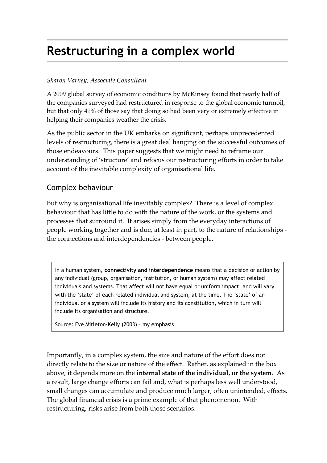# **Restructuring in a complex world**

#### *Sharon Varney, Associate Consultant*

A 2009 global survey of economic conditions by McKinsey found that nearly half of the companies surveyed had restructured in response to the global economic turmoil, but that only 41% of those say that doing so had been very or extremely effective in helping their companies weather the crisis.

As the public sector in the UK embarks on significant, perhaps unprecedented levels of restructuring, there is a great deal hanging on the successful outcomes of those endeavours. This paper suggests that we might need to reframe our understanding of 'structure' and refocus our restructuring efforts in order to take account of the inevitable complexity of organisational life.

### Complex behaviour

But why is organisational life inevitably complex? There is a level of complex behaviour that has little to do with the nature of the work, or the systems and processes that surround it. It arises simply from the everyday interactions of people working together and is due, at least in part, to the nature of relationships the connections and interdependencies - between people.

In a human system, **connectivity and interdependence** means that a decision or action by any individual (group, organisation, institution, or human system) may affect related individuals and systems. That affect will not have equal or uniform impact, and will vary with the 'state' of each related individual and system, at the time. The 'state' of an individual or a system will include its history and its constitution, which in turn will include its organisation and structure.

Source: Eve Mitleton-Kelly (2003) – my emphasis

Importantly, in a complex system, the size and nature of the effort does not directly relate to the size or nature of the effect. Rather, as explained in the box above, it depends more on the **internal state of the individual, or the system**. As a result, large change efforts can fail and, what is perhaps less well understood, small changes can accumulate and produce much larger, often unintended, effects. The global financial crisis is a prime example of that phenomenon. With restructuring, risks arise from both those scenarios.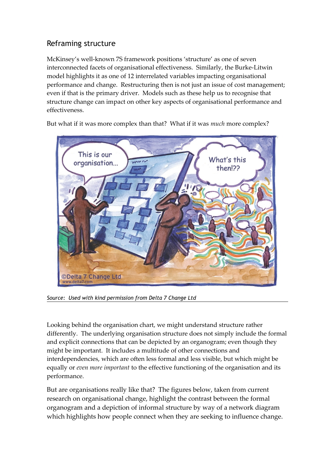## Reframing structure

McKinsey's well-known 7S framework positions 'structure' as one of seven interconnected facets of organisational effectiveness. Similarly, the Burke-Litwin model highlights it as one of 12 interrelated variables impacting organisational performance and change. Restructuring then is not just an issue of cost management; even if that is the primary driver. Models such as these help us to recognise that structure change can impact on other key aspects of organisational performance and effectiveness.

But what if it was more complex than that? What if it was *much* more complex?



*Source: Used with kind permission from Delta 7 Change Ltd*

Looking behind the organisation chart, we might understand structure rather differently. The underlying organisation structure does not simply include the formal and explicit connections that can be depicted by an organogram; even though they might be important. It includes a multitude of other connections and interdependencies, which are often less formal and less visible, but which might be equally or *even more important* to the effective functioning of the organisation and its performance.

But are organisations really like that? The figures below, taken from current research on organisational change, highlight the contrast between the formal organogram and a depiction of informal structure by way of a network diagram which highlights how people connect when they are seeking to influence change.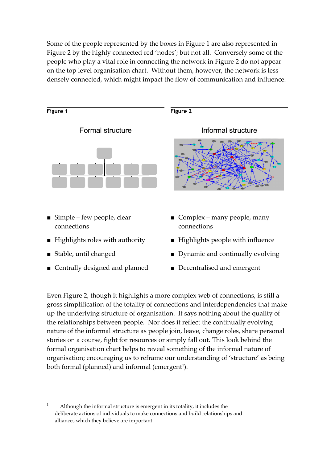Some of the people represented by the boxes in Figure 1 are also represented in Figure 2 by the highly connected red 'nodes'; but not all. Conversely some of the people who play a vital role in connecting the network in Figure 2 do not appear on the top level organisation chart. Without them, however, the network is less densely connected, which might impact the flow of communication and influence.



- Centrally designed and planned
- Decentralised and emergent

Even Figure 2, though it highlights a more complex web of connections, is still a gross simplification of the totality of connections and interdependencies that make up the underlying structure of organisation. It says nothing about the quality of the relationships between people. Nor does it reflect the continually evolving nature of the informal structure as people join, leave, change roles, share personal stories on a course, fight for resources or simply fall out. This look behind the formal organisation chart helps to reveal something of the informal nature of organisation; encouraging us to reframe our understanding of 'structure' as being both formal (planned) and informal (emergent<sup>[1](#page-2-0)</sup>).

<span id="page-2-0"></span><sup>1</sup> Although the informal structure is emergent in its totality, it includes the deliberate actions of individuals to make connections and build relationships and alliances which they believe are important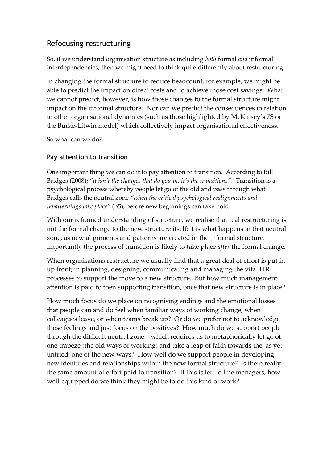## Refocusing restructuring

So, if we understand organisation structure as including *both* formal *and* informal interdependencies, then we might need to think quite differently about restructuring.

In changing the formal structure to reduce headcount, for example, we might be able to predict the impact on direct costs and to achieve those cost savings. What we cannot predict, however, is how those changes to the formal structure might impact on the informal structure. Nor can we predict the consequences in relation to other organisational dynamics (such as those highlighted by McKinsey's 7S or the Burke-Litwin model) which collectively impact organisational effectiveness.

So what can we do?

#### **Pay attention to transition**

One important thing we can do it to pay attention to transition. According to Bill Bridges (2008); *"it isn't the changes that do you in, it's the transitions"*. Transition is a psychological process whereby people let go of the old and pass through what Bridges calls the neutral zone *"when the critical psychological realignments and repatternings take place"* (p5), before new beginnings can take hold.

With our reframed understanding of structure, we realise that real restructuring is not the formal change to the new structure itself; it is what happens in that neutral zone, as new alignments and patterns are created in the informal structure. Importantly the process of transition is likely to take place *after* the formal change.

When organisations restructure we usually find that a great deal of effort is put in up front; in planning, designing, communicating and managing the vital HR processes to support the move to a new structure. But how much management attention is paid to then supporting transition, once that new structure is in place?

How much focus do we place on recognising endings and the emotional losses that people can and do feel when familiar ways of working change, when colleagues leave, or when teams break up? Or do we prefer not to acknowledge those feelings and just focus on the positives? How much do we support people through the difficult neutral zone – which requires us to metaphorically let go of one trapeze (the old ways of working) and take a leap of faith towards the, as yet untried, one of the new ways? How well do we support people in developing new identities and relationships within the new formal structure? Is there really the same amount of effort paid to transition? If this is left to line managers, how well-equipped do we think they might be to do this kind of work?